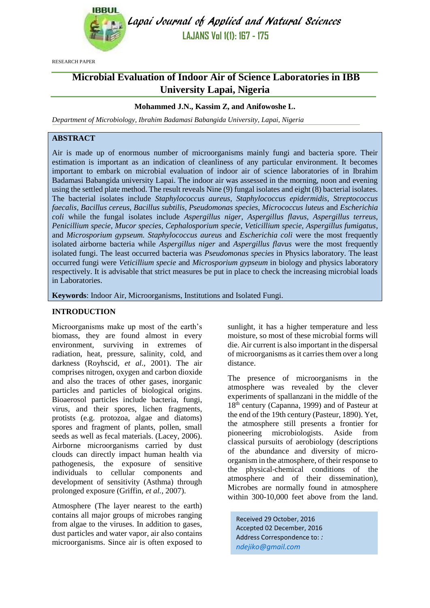

Lapai Journal of Applied and Natural Sciences **LAJANS Vol 1(1): 167 - 175**

RESEARCH PAPER

# **Microbial Evaluation of Indoor Air of Science Laboratories in IBB University Lapai, Nigeria**

# **Mohammed J.N., Kassim Z, and Anifowoshe L.**

*Department of Microbiology, Ibrahim Badamasi Babangida University, Lapai, Nigeria*

# **ABSTRACT**

Air is made up of enormous number of microorganisms mainly fungi and bacteria spore. Their estimation is important as an indication of cleanliness of any particular environment. It becomes important to embark on microbial evaluation of indoor air of science laboratories of in Ibrahim Badamasi Babangida university Lapai. The indoor air was assessed in the morning, noon and evening using the settled plate method. The result reveals Nine (9) fungal isolates and eight (8) bacterial isolates. The bacterial isolates include *Staphylococcus aureus, Staphylococcus epidermidis, Streptococcus faecalis, Bacillus cereus, Bacillus subtilis, Pseudomonas species, Micrococcus luteus* and *Escherichia coli* while the fungal isolates include *Aspergillus niger, Aspergillus flavus, Aspergillus terreus, Penicillium specie, Mucor species, Cephalosporium specie, Veticillium specie, Aspergillus fumigatus*, and *Microsporium gypseum. Staphylococcus aureus* and *Escherichia coli* were the most frequently isolated airborne bacteria while *Aspergillus niger* and *Aspergillus flavus* were the most frequently isolated fungi. The least occurred bacteria was *Pseudomonas species* in Physics laboratory. The least occurred fungi were *Veticillium specie* and *Microsporium gypseum* in biology and physics laboratory respectively. It is advisable that strict measures be put in place to check the increasing microbial loads in Laboratories.

**Keywords**: Indoor Air, Microorganisms, Institutions and Isolated Fungi.

#### **INTRODUCTION**

Microorganisms make up most of the earth's biomass, they are found almost in every environment, surviving in extremes of radiation, heat, pressure, salinity, cold, and darkness (Royhscid, *et al.,* 2001). The air comprises nitrogen, oxygen and carbon dioxide and also the traces of other gases, inorganic particles and particles of biological origins. Bioaerosol particles include bacteria, fungi, virus, and their spores, lichen fragments, protists (e.g. protozoa, algae and diatoms) spores and fragment of plants, pollen, small seeds as well as fecal materials. (Lacey, 2006). Airborne microorganisms carried by dust clouds can directly impact human health via pathogenesis, the exposure of sensitive individuals to cellular components and development of sensitivity (Asthma) through prolonged exposure (Griffin, *et al.,* 2007).

Atmosphere (The layer nearest to the earth) contains all major groups of microbes ranging from algae to the viruses. In addition to gases, dust particles and water vapor, air also contains microorganisms. Since air is often exposed to sunlight, it has a higher temperature and less moisture, so most of these microbial forms will die. Air current is also important in the dispersal of microorganisms as it carries them over a long distance.

The presence of microorganisms in the atmosphere was revealed by the clever experiments of spallanzani in the middle of the 18th century (Capanna, 1999) and of Pasteur at the end of the 19th century (Pasteur, 1890). Yet, the atmosphere still presents a frontier for pioneering microbiologists. Aside from classical pursuits of aerobiology (descriptions of the abundance and diversity of microorganism in the atmosphere, of their response to the physical-chemical conditions of the atmosphere and of their dissemination), Microbes are normally found in atmosphere within 300-10,000 feet above from the land.

Received 29 October, 2016 Accepted 02 December, 2016 Address Correspondence to: *: [ndejiko@gmail.com](mailto:ndejiko@gmail.com)*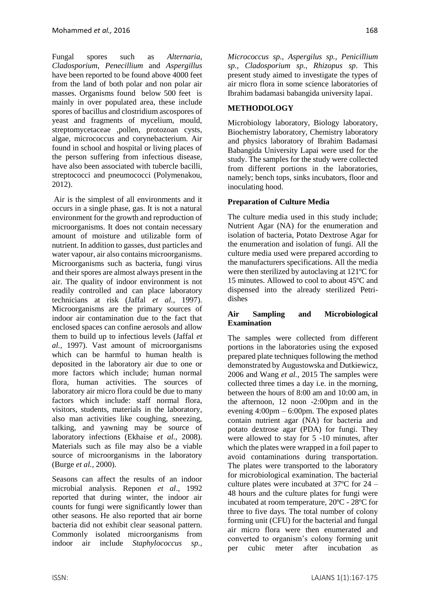Fungal spores such as *Alternaria*, *Cladosporium*, *Penecillium* and *Aspergillus* have been reported to be found above 4000 feet from the land of both polar and non polar air masses. Organisms found below 500 feet is mainly in over populated area, these include spores of bacillus and clostridium ascospores of yeast and fragments of mycelium, mould, streptomycetaceae ,pollen, protozoan cysts, algae, micrococcus and corynebacterium. Air found in school and hospital or living places of the person suffering from infectious disease, have also been associated with tubercle bacilli, streptococci and pneumococci (Polymenakou, 2012).

Air is the simplest of all environments and it occurs in a single phase, gas. It is not a natural environment for the growth and reproduction of microorganisms. It does not contain necessary amount of moisture and utilizable form of nutrient. In addition to gasses, dust particles and water vapour, air also contains microorganisms. Microorganisms such as bacteria, fungi virus and their spores are almost always present in the air. The quality of indoor environment is not readily controlled and can place laboratory technicians at risk (Jaffal *et al.,* 1997). Microorganisms are the primary sources of indoor air contamination due to the fact that enclosed spaces can confine aerosols and allow them to build up to infectious levels (Jaffal *et al.,* 1997). Vast amount of microorganisms which can be harmful to human health is deposited in the laboratory air due to one or more factors which include; human normal flora, human activities. The sources of laboratory air micro flora could be due to many factors which include: staff normal flora, visitors, students, materials in the laboratory, also man activities like coughing, sneezing, talking, and yawning may be source of laboratory infections (Ekhaise *et al.,* 2008). Materials such as file may also be a viable source of microorganisms in the laboratory (Burge *et al.,* 2000).

Seasons can affect the results of an indoor microbial analysis. Reponen *et al*., 1992 reported that during winter, the indoor air counts for fungi were significantly lower than other seasons. He also reported that air borne bacteria did not exhibit clear seasonal pattern. Commonly isolated microorganisms from indoor air include *Staphylococcus sp.,* 

*Micrococcus sp., Aspergilus sp., Penicillium sp., Cladosporium sp., Rhizopus sp*. This present study aimed to investigate the types of air micro flora in some science laboratories of Ibrahim badamasi babangida university lapai.

# **METHODOLOGY**

Microbiology laboratory, Biology laboratory, Biochemistry laboratory, Chemistry laboratory and physics laboratory of Ibrahim Badamasi Babangida University Lapai were used for the study. The samples for the study were collected from different portions in the laboratories, namely; bench tops, sinks incubators, floor and inoculating hood.

# **Preparation of Culture Media**

The culture media used in this study include; Nutrient Agar (NA) for the enumeration and isolation of bacteria, Potato Dextrose Agar for the enumeration and isolation of fungi. All the culture media used were prepared according to the manufacturers specifications. All the media were then sterilized by autoclaving at 121ºC for 15 minutes. Allowed to cool to about 45ºC and dispensed into the already sterilized Petridishes

# **Air Sampling and Microbiological Examination**

The samples were collected from different portions in the laboratories using the exposed prepared plate techniques following the method demonstrated by Augustowska and Dutkiewicz, 2006 and Wang *et al.,* 2015 The samples were collected three times a day i.e. in the morning, between the hours of 8:00 am and 10:00 am, in the afternoon, 12 noon -2:00pm and in the evening  $4:00 \text{pm} - 6:00 \text{pm}$ . The exposed plates contain nutrient agar (NA) for bacteria and potato dextrose agar (PDA) for fungi. They were allowed to stay for 5 -10 minutes, after which the plates were wrapped in a foil paper to avoid contaminations during transportation. The plates were transported to the laboratory for microbiological examination. The bacterial culture plates were incubated at 37ºC for 24 – 48 hours and the culture plates for fungi were incubated at room temperature, 20ºC - 28ºC for three to five days. The total number of colony forming unit (CFU) for the bacterial and fungal air micro flora were then enumerated and converted to organism's colony forming unit per cubic meter after incubation as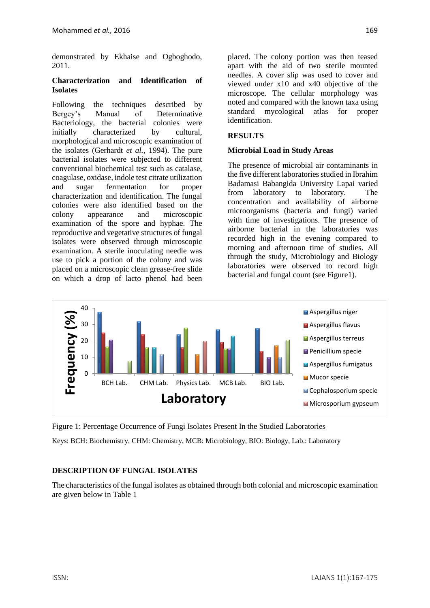demonstrated by Ekhaise and Ogboghodo, 2011.

#### **Characterization and Identification of Isolates**

Following the techniques described by Bergey's Manual of Determinative Bacteriology, the bacterial colonies were initially characterized by cultural, morphological and microscopic examination of the isolates (Gerhardt *et al.*, 1994). The pure bacterial isolates were subjected to different conventional biochemical test such as catalase, coagulase, oxidase, indole test citrate utilization and sugar fermentation for proper characterization and identification. The fungal colonies were also identified based on the colony appearance and microscopic examination of the spore and hyphae. The reproductive and vegetative structures of fungal isolates were observed through microscopic examination. A sterile inoculating needle was use to pick a portion of the colony and was placed on a microscopic clean grease-free slide on which a drop of lacto phenol had been placed. The colony portion was then teased apart with the aid of two sterile mounted needles. A cover slip was used to cover and viewed under x10 and x40 objective of the microscope. The cellular morphology was noted and compared with the known taxa using standard mycological atlas for proper identification.

# **RESULTS**

#### **Microbial Load in Study Areas**

The presence of microbial air contaminants in the five different laboratories studied in Ibrahim Badamasi Babangida University Lapai varied from laboratory to laboratory. The concentration and availability of airborne microorganisms (bacteria and fungi) varied with time of investigations. The presence of airborne bacterial in the laboratories was recorded high in the evening compared to morning and afternoon time of studies. All through the study, Microbiology and Biology laboratories were observed to record high bacterial and fungal count (see Figure1).



Figure 1: Percentage Occurrence of Fungi Isolates Present In the Studied Laboratories

Keys: BCH: Biochemistry, CHM: Chemistry, MCB: Microbiology, BIO: Biology, Lab.: Laboratory

# **DESCRIPTION OF FUNGAL ISOLATES**

The characteristics of the fungal isolates as obtained through both colonial and microscopic examination are given below in Table 1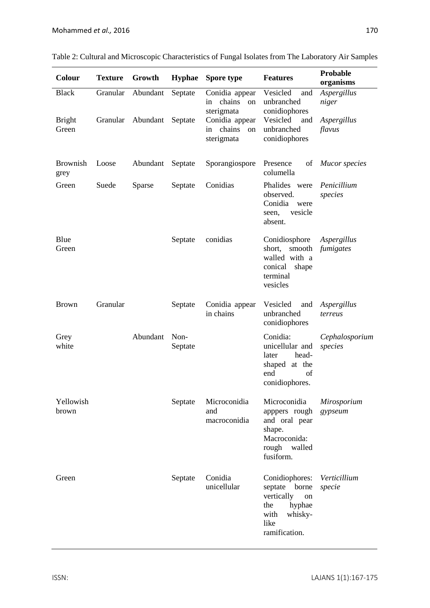| Colour                  | <b>Texture</b> | Growth   | <b>Hyphae</b>   | Spore type                                         | <b>Features</b>                                                                                                  | Probable<br>organisms         |  |
|-------------------------|----------------|----------|-----------------|----------------------------------------------------|------------------------------------------------------------------------------------------------------------------|-------------------------------|--|
| <b>Black</b>            | Granular       | Abundant | Septate         | Conidia appear<br>chains<br>in<br>on<br>sterigmata | Vesicled<br>and<br>unbranched<br>conidiophores                                                                   | Aspergillus<br>niger          |  |
| <b>Bright</b><br>Green  | Granular       | Abundant | Septate         | Conidia appear<br>chains<br>in<br>on<br>sterigmata | Vesicled<br>and<br>unbranched<br>conidiophores                                                                   | Aspergillus<br>flavus         |  |
| <b>Brownish</b><br>grey | Loose          | Abundant | Septate         | Sporangiospore                                     | Presence<br>of<br>columella                                                                                      | <b>Mucor</b> species          |  |
| Green                   | Suede          | Sparse   | Septate         | Conidias                                           | Phalides were<br>observed.<br>Conidia<br>were<br>vesicle<br>seen,<br>absent.                                     | Penicillium<br>species        |  |
| Blue<br>Green           |                |          | Septate         | conidias                                           | Conidiosphore<br>short, smooth<br>walled with a<br>conical<br>shape<br>terminal<br>vesicles                      | Aspergillus<br>fumigates      |  |
| <b>Brown</b>            | Granular       |          | Septate         | Conidia appear<br>in chains                        | Vesicled<br>and<br>unbranched<br>conidiophores                                                                   | Aspergillus<br>terreus        |  |
| Grey<br>white           |                | Abundant | Non-<br>Septate |                                                    | Conidia:<br>unicellular and<br>head-<br>later<br>shaped at the<br>end<br>of<br>conidiophores.                    | Cephalosporium<br>species     |  |
| Yellowish<br>brown      |                |          | Septate         | Microconidia<br>and<br>macroconidia                | Microconidia<br>apppers rough<br>and oral pear<br>shape.<br>Macroconida:<br>rough walled<br>fusiform.            | <i>Mirosporium</i><br>gypseum |  |
| Green                   |                |          | Septate         | Conidia<br>unicellular                             | Conidiophores:<br>septate borne<br>vertically<br>on<br>the<br>hyphae<br>with<br>whisky-<br>like<br>ramification. | Verticillium<br>specie        |  |

| Table 2: Cultural and Microscopic Characteristics of Fungal Isolates from The Laboratory Air Samples |  |  |
|------------------------------------------------------------------------------------------------------|--|--|
|                                                                                                      |  |  |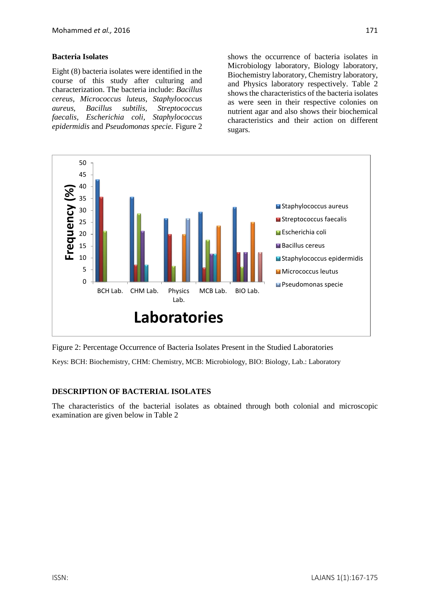#### **Bacteria Isolates**

Eight (8) bacteria isolates were identified in the course of this study after culturing and characterization. The bacteria include: *Bacillus cereus, Micrococcus luteus, Staphylococcus aureus, Bacillus subtilis, Streptococcus faecalis, Escherichia coli, Staphylococcus epidermidis* and *Pseudomonas specie.* Figure 2 shows the occurrence of bacteria isolates in Microbiology laboratory, Biology laboratory, Biochemistry laboratory, Chemistry laboratory, and Physics laboratory respectively. Table 2 shows the characteristics of the bacteria isolates as were seen in their respective colonies on nutrient agar and also shows their biochemical characteristics and their action on different sugars.



Figure 2: Percentage Occurrence of Bacteria Isolates Present in the Studied Laboratories

Keys: BCH: Biochemistry, CHM: Chemistry, MCB: Microbiology, BIO: Biology, Lab.: Laboratory

# **DESCRIPTION OF BACTERIAL ISOLATES**

The characteristics of the bacterial isolates as obtained through both colonial and microscopic examination are given below in Table 2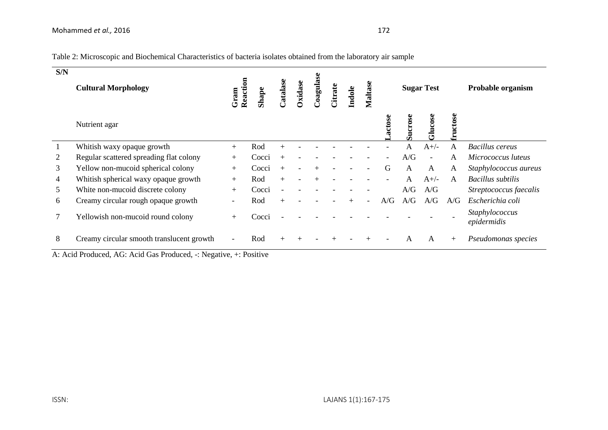| Table 2: Microscopic and Biochemical Characteristics of bacteria isolates obtained from the laboratory air sample |
|-------------------------------------------------------------------------------------------------------------------|
|-------------------------------------------------------------------------------------------------------------------|

| S/N                                                                                  | <b>Cultural Morphology</b>                | Reaction<br>Gram         | Shape | atalase | Oxidase | Coagulase | Citrate | Indole | Maltase |       |                         | <b>Sugar Test</b> |         | Probable organism             |
|--------------------------------------------------------------------------------------|-------------------------------------------|--------------------------|-------|---------|---------|-----------|---------|--------|---------|-------|-------------------------|-------------------|---------|-------------------------------|
|                                                                                      | Nutrient agar                             |                          |       |         |         |           |         |        |         | actos | $\frac{66}{56}$<br>Sucr | ucose             | ructose |                               |
| $\mathbf{1}$                                                                         | Whitish waxy opaque growth                | $+$                      | Rod   |         |         |           |         |        |         |       | A                       | $A+/-$            | A       | <b>Bacillus</b> cereus        |
| 2                                                                                    | Regular scattered spreading flat colony   | $+$                      | Cocci |         |         |           |         |        |         |       | A/G                     |                   | A       | Micrococcus luteus            |
| 3                                                                                    | Yellow non-mucoid spherical colony        | $+$                      | Cocci | $+$     |         | $^{+}$    |         |        |         | G     | A                       | A                 | A       | Staphylococcus aureus         |
| 4                                                                                    | Whitish spherical waxy opaque growth      | $+$                      | Rod   |         |         |           |         |        |         |       | A                       | $A+/-$            | A       | Bacillus subtilis             |
| 5                                                                                    | White non-mucoid discrete colony          | $+$                      | Cocci |         |         |           |         |        |         |       | A/G                     | A/G               |         | Streptococcus faecalis        |
| 6                                                                                    | Creamy circular rough opaque growth       | $\overline{\phantom{a}}$ | Rod   |         |         |           |         |        |         | A/G   | A/G                     | A/G               | A/G     | Escherichia coli              |
| 7                                                                                    | Yellowish non-mucoid round colony         | $+$                      | Cocci |         |         |           |         |        |         |       |                         |                   |         | Staphylococcus<br>epidermidis |
| 8                                                                                    | Creamy circular smooth translucent growth |                          | Rod   |         |         |           |         |        |         |       | A                       | A                 | $+$     | Pseudomonas species           |
| $\Lambda$ A cid Produced $\Lambda$ G Acid Ges Produced · Negative $\Lambda$ Positive |                                           |                          |       |         |         |           |         |        |         |       |                         |                   |         |                               |

A: Acid Produced, AG: Acid Gas Produced, -: Negative, +: Positive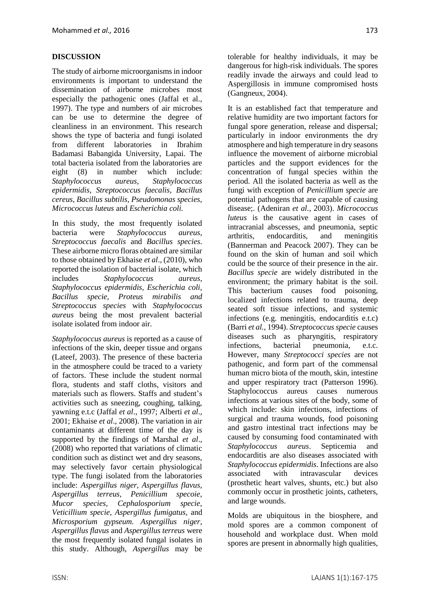# **DISCUSSION**

The study of airborne microorganisms in indoor environments is important to understand the dissemination of airborne microbes most especially the pathogenic ones (Jaffal et al., 1997). The type and numbers of air microbes can be use to determine the degree of cleanliness in an environment. This research shows the type of bacteria and fungi isolated from different laboratories in Ibrahim Badamasi Babangida University, Lapai. The total bacteria isolated from the laboratories are eight (8) in number which include: *Staphylococcus aureus, Staphylococcus epidermidis, Streptococcus faecalis, Bacillus cereus, Bacillus subtilis, Pseudomonas species, Micrococcus luteus* and *Escherichia coli.*

In this study, the most frequently isolated bacteria were *Staphylococcus aureus, Streptococcus faecalis* and *Bacillus species.* These airborne micro floras obtained are similar to those obtained by Ekhaise *et al*., (2010), who reported the isolation of bacterial isolate, which includes *Staphylococcus aureus, Staphylococcus epidermidis, Escherichia coli, Bacillus specie, Proteus mirabilis and Streptococcus species* with *Staphylococcus aureus* being the most prevalent bacterial isolate isolated from indoor air.

*Staphylococcus aureus* is reported as a cause of infections of the skin, deeper tissue and organs (Lateef, 2003). The presence of these bacteria in the atmosphere could be traced to a variety of factors. These include the student normal flora, students and staff cloths, visitors and materials such as flowers. Staffs and student's activities such as sneezing, coughing, talking, yawning e.t.c (Jaffal *et al*., 1997; Alberti *et al*., 2001; Ekhaise *et al*., 2008). The variation in air contaminants at different time of the day is supported by the findings of Marshal *et al*., (2008) who reported that variations of climatic condition such as distinct wet and dry seasons, may selectively favor certain physiological type. The fungi isolated from the laboratories include: *Aspergillus niger, Aspergillus flavus, Aspergillus terreus, Penicillium specoie, Mucor species, Cephalosporium specie, Veticillium specie, Aspergillus fumigatus,* and *Microsporium gypseum. Aspergillus niger, Aspergillus flavus* and *Aspergillus terreus* were the most frequently isolated fungal isolates in this study. Although, *Aspergillus* may be tolerable for healthy individuals, it may be dangerous for high-risk individuals. The spores readily invade the airways and could lead to Aspergillosis in immune compromised hosts (Gangneux, 2004).

It is an established fact that temperature and relative humidity are two important factors for fungal spore generation, release and dispersal; particularly in indoor environments the dry atmosphere and high temperature in dry seasons influence the movement of airborne microbial particles and the support evidences for the concentration of fungal species within the period. All the isolated bacteria as well as the fungi with exception of *Penicillium specie* are potential pathogens that are capable of causing disease;. (Adeniran *et al.*, 2003). *Micrococcus luteus* is the causative agent in cases of intracranial abscesses, and pneumonia, septic arthritis, endocarditis, and meningitis (Bannerman and Peacock 2007). They can be found on the skin of human and soil which could be the source of their presence in the air. *Bacillus specie* are widely distributed in the environment; the primary habitat is the soil. This bacterium causes food poisoning, localized infections related to trauma, deep seated soft tissue infections, and systemic infections (e.g. meningitis, endocarditis e.t.c) (Barri *et al.,* 1994). *Streptococcus specie* causes diseases such as pharyngitis, respiratory infections, bacterial pneumonia, e.t.c. However, many *Streptococci species* are not pathogenic, and form part of the commensal human micro biota of the mouth, skin, intestine and upper respiratory tract (Patterson 1996). Staphylococcus aureus causes numerous infections at various sites of the body, some of which include: skin infections, infections of surgical and trauma wounds, food poisoning and gastro intestinal tract infections may be caused by consuming food contaminated with *Staphylococcus aureus*. Septicemia and endocarditis are also diseases associated with *Staphylococcus epidermidis*. Infections are also associated with intravascular devices (prosthetic heart valves, shunts, etc.) but also commonly occur in prosthetic joints, catheters, and large wounds.

Molds are ubiquitous in the biosphere, and mold spores are a common component of household and workplace dust. When mold spores are present in abnormally high qualities,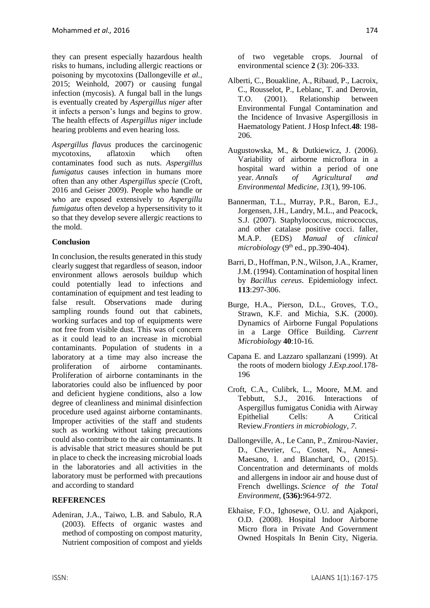they can present especially hazardous health risks to humans, including allergic reactions or poisoning by mycotoxins (Dallongeville *et al.,* 2015; Weinhold, 2007) or causing fungal infection (mycosis). A fungal ball in the lungs is eventually created by *Aspergillus niger* after it infects a person's lungs and begins to grow. The health effects of *Aspergillus niger* include hearing problems and even hearing loss.

*Aspergillus flavus* produces the carcinogenic mycotoxins, aflatoxin which often contaminates food such as nuts. *Aspergillus fumigatus* causes infection in humans more often than any other *Aspergillus specie* (Croft, 2016 and Geiser 2009). People who handle or who are exposed extensively to *Aspergillu fumigatus* often develop a hypersensitivity to it so that they develop severe allergic reactions to the mold.

#### **Conclusion**

In conclusion, the results generated in this study clearly suggest that regardless of season, indoor environment allows aerosols buildup which could potentially lead to infections and contamination of equipment and test leading to false result. Observations made during sampling rounds found out that cabinets, working surfaces and top of equipments were not free from visible dust. This was of concern as it could lead to an increase in microbial contaminants. Population of students in a laboratory at a time may also increase the proliferation of airborne contaminants. Proliferation of airborne contaminants in the laboratories could also be influenced by poor and deficient hygiene conditions, also a low degree of cleanliness and minimal disinfection procedure used against airborne contaminants. Improper activities of the staff and students such as working without taking precautions could also contribute to the air contaminants. It is advisable that strict measures should be put in place to check the increasing microbial loads in the laboratories and all activities in the laboratory must be performed with precautions and according to standard

#### **REFERENCES**

Adeniran, J.A., Taiwo, L.B. and Sabulo, R.A (2003). Effects of organic wastes and method of composting on compost maturity, Nutrient composition of compost and yields of two vegetable crops. Journal of environmental science **2** (3): 206-333.

- Alberti, C., Bouakline, A., Ribaud, P., Lacroix, C., Rousselot, P., Leblanc, T. and Derovin, T.O. (2001). Relationship between Environmental Fungal Contamination and the Incidence of Invasive Aspergillosis in Haematology Patient. J Hosp Infect.**48**: 198- 206.
- Augustowska, M., & Dutkiewicz, J. (2006). Variability of airborne microflora in a hospital ward within a period of one year. *Annals of Agricultural and Environmental Medicine*, *13*(1), 99-106.
- Bannerman, T.L., Murray, P.R., Baron, E.J., Jorgensen, J.H., Landry, M.L., and Peacock, S.J. (2007). Staphylococcus, micrococcus, and other catalase positive cocci. faller, M.A.P. (EDS) *Manual of clinical*   $microbiology (9<sup>th</sup> ed., pp.390-404).$
- Barri, D., Hoffman, P.N., Wilson, J.A., Kramer, J.M. (1994). Contamination of hospital linen by *Bacillus cereus*. Epidemiology infect. **113**:297-306.
- Burge, H.A., Pierson, D.L., Groves, T.O., Strawn, K.F. and Michia, S.K. (2000). Dynamics of Airborne Fungal Populations in a Large Office Building. *Current Microbiology* **40**:10-16.
- Capana E. and Lazzaro spallanzani (1999). At the roots of modern biology *J.Exp.zool.*178- 196
- Croft, C.A., Culibrk, L., Moore, M.M. and Tebbutt, S.J., 2016. Interactions of Aspergillus fumigatus Conidia with Airway Epithelial Cells: A Critical Review.*Frontiers in microbiology*, *7*.
- Dallongeville, A., Le Cann, P., Zmirou-Navier, D., Chevrier, C., Costet, N., Annesi-Maesano, I. and Blanchard, O., (2015). Concentration and determinants of molds and allergens in indoor air and house dust of French dwellings. *Science of the Total Environment*, **(536):**964-972.
- Ekhaise, F.O., Ighosewe, O.U. and Ajakpori, O.D. (2008). Hospital Indoor Airborne Micro flora in Private And Government Owned Hospitals In Benin City, Nigeria.